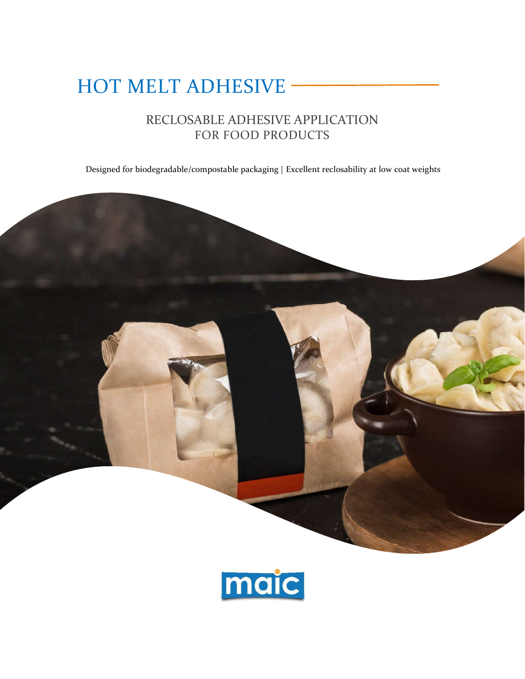# HOT MELT ADHESIVE -

# RECLOSABLE ADHESIVE APPLICATION FOR FOOD PRODUCTS

Designed for biodegradable/compostable packaging | Excellent reclosability at low coat weights